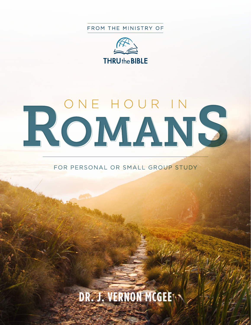FROM THE MINISTRY OF



# ROMANS

FOR PERSONAL OR SMALL GROUP STUDY

# **DR. J. VERNON MCGEE**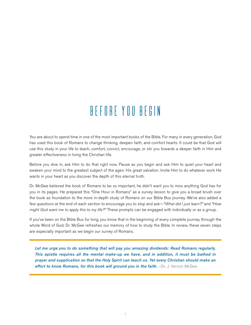# BEFORE YOU BEGIN

You are about to spend time in one of the most important books of the Bible. For many in every generation, God has used this book of Romans to change thinking, deepen faith, and comfort hearts. It could be that God will use this study in your life to teach, comfort, convict, encourage, or stir you towards a deeper faith in Him and greater effectiveness in living the Christian life.

Before you dive in, ask Him to do that right now. Pause as you begin and ask Him to quiet your heart and awaken your mind to the greatest subject of the ages: His great salvation. Invite Him to do whatever work He wants in your heart as you discover the depth of this eternal truth.

Dr. McGee believed the book of Romans to be so important, he didn't want you to miss anything God has for you in its pages. He prepared this "One Hour in Romans" as a survey lesson to give you a broad brush over the book as foundation to the more in-depth study of Romans on our Bible Bus journey. We've also added a few questions at the end of each section to encourage you to stop and ask—*"What did I just learn?"* and *"How might God want me to apply this to my life?"* These prompts can be engaged with individually or as a group.

If you've been on the Bible Bus for long, you know that in the beginning of every complete journey through the whole Word of God, Dr. McGee refreshes our memory of how to study the Bible. In review, these seven steps are especially important as we begin our survey of Romans.

*Let me urge you to do something that will pay you amazing dividends: Read Romans regularly. This epistle requires all the mental make-up we have, and in addition, it must be bathed in prayer and supplication so that the Holy Spirit can teach us. Yet every Christian should make an effort to know Romans, for this book will ground you in the faith.* $-Dr$ **. J. Vernon McGee**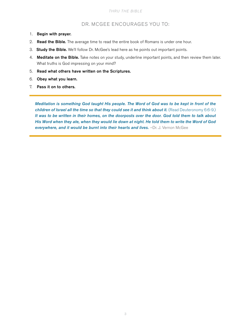#### DR. MCGEE ENCOURAGES YOU TO:

- 1. Begin with prayer.
- 2. Read the Bible. The average time to read the entire book of Romans is under one hour.
- 3. Study the Bible. We'll follow Dr. McGee's lead here as he points out important points.
- 4. Meditate on the Bible. Take notes on your study, underline important points, and then review them later. What truths is God impressing on your mind?
- 5. Read what others have written on the Scriptures.
- 6. Obey what you learn.
- 7. Pass it on to others.

*Meditation is something God taught His people. The Word of God was to be kept in front of the*  children of Israel all the time so that they could see it and think about it. (Read Deuteronomy 6:6-9.) *It was to be written in their homes, on the doorposts over the door. God told them to talk about His Word when they ate, when they would lie down at night. He told them to write the Word of God*  **everywhere, and it would be burnt into their hearts and lives.** -Dr. J. Vernon McGee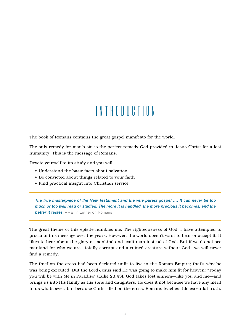# Introduction

The book of Romans contains the great gospel manifesto for the world.

The only remedy for man's sin is the perfect remedy God provided in Jesus Christ for a lost humanity. This is the message of Romans.

Devote yourself to its study and you will:

- Understand the basic facts about salvation
- Be convicted about things related to your faith
- Find practical insight into Christian service

*The true masterpiece of the New Testament and the very purest gospel …. It can never be too much or too well read or studied. The more it is handled, the more precious it becomes, and the*  **better it tastes.** –Martin Luther on Romans

The great theme of this epistle humbles me: The righteousness of God. I have attempted to proclaim this message over the years. However, the world doesn't want to hear or accept it. It likes to hear about the glory of mankind and exalt man instead of God. But if we do not see mankind for who we are—totally corrupt and a ruined creature without God—we will never find a remedy.

The thief on the cross had been declared unfit to live in the Roman Empire; that's why he was being executed. But the Lord Jesus said He was going to make him fit for heaven: "Today you will be with Me in Paradise" (Luke 23:43). God takes lost sinners—like you and me—and brings us into His family as His sons and daughters. He does it not because we have any merit in us whatsoever, but because Christ died on the cross. Romans teaches this essential truth.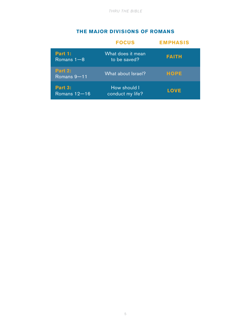#### **THE MAJOR DIVISIONS OF ROMANS**

|                               | <b>FOCUS</b>                      | <b>EMPHASIS</b> |
|-------------------------------|-----------------------------------|-----------------|
| Part 1:<br>Romans $1-8$       | What does it mean<br>to be saved? | <b>FAITH</b>    |
| <b>Part 2:</b><br>Romans 9-11 | What about Israel?                | <b>HOPE</b>     |
| Part 3:<br>Romans $12 - 16$   | How should I<br>conduct my life?  | <b>LOVE</b>     |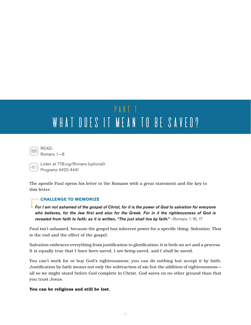# PART<sub>1</sub> WHAT DOES IT MEAN TO BE SAVED?



Romans 1—8

Listen at *TTB.org/Romans* (optional): Programs 4422-4441

The apostle Paul opens his letter to the Romans with a great statement and the key to this letter:

#### **CHALLENGE TO MEMORIZE**

*For I am not ashamed of the gospel of Christ, for it is the power of God to salvation for everyone who believes, for the Jew first and also for the Greek. For in it the righteousness of God is*  revealed from faith to faith; as it is written, "The just shall live by faith." - Romans 1:16, 17

Paul isn't ashamed, because the gospel has inherent power for a specific thing: *Salvation*. That is the end and the effect of the gospel.

Salvation embraces everything from justification to glorification; it is both an act and a process. It is equally true that I *have been* saved, I *am being* saved, and I *shall be* saved.

You can't work for or buy God's righteousness; you can do nothing but accept it by faith. Justification by faith means not only the subtraction of sin but the addition of righteousness all so we might stand before God complete in Christ. God saves on no other ground than that you trust Jesus.

You can be religious and still be lost.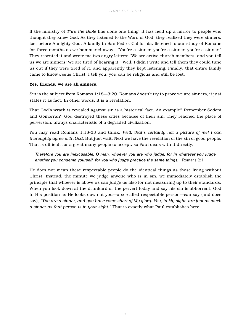If the ministry of *Thru the Bible* has done one thing, it has held up a mirror to people who thought they knew God. As they listened to the Word of God, they realized they were sinners, lost before Almighty God. A family in San Pedro, California, listened to our study of Romans for three months as we hammered away—"You're a sinner, you're a sinner, you're a sinner." They resented it and wrote me two angry letters: "We are active church members, and you tell us we are sinners! We are tired of hearing it." Well, I didn't write and tell them they could tune us out if they were tired of it, and apparently they kept listening. Finally, that entire family came to know Jesus Christ. I tell you, you can be religious and still be lost.

#### Yes, friends, we are all sinners.

Sin is the subject from Romans 1:18—3:20. Romans doesn't try to prove we are sinners, it just states it as fact. In other words, it is a revelation.

That God's wrath is revealed against sin is a historical fact. An example? Remember Sodom and Gomorrah? God destroyed these cities because of their sin. They reached the place of perversion, always characteristic of a degraded civilization.

You may read Romans 1:18-33 and think, *Well, that's certainly not a picture of me! I can thoroughly agree with God.* But just wait. Next we have the revelation of the sin of good people. That is difficult for a great many people to accept, so Paul deals with it directly.

#### *Therefore you are inexcusable, O man, whoever you are who judge, for in whatever you judge*  another you condemn yourself, for you who judge practice the same things. -Romans 2:1

He does not mean these respectable people do the identical things as those living without Christ. Instead, the minute we judge anyone who is in sin, we immediately establish the principle that whoever is above us can judge us also for not measuring up to their standards. When you look down at the drunkard or the pervert today and say his sin is abhorrent, God in His position as He looks down at you—a so-called respectable person—can say (and does say), *"You are a sinner, and you have come short of My glory. You, in My sight, are just as much a sinner as that person is in your sight."* That is exactly what Paul establishes here.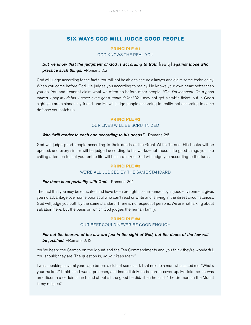#### **SIX WAYS GOD WILL JUDGE GOOD PEOPLE**

#### **PRINCIPLE #1**  GOD KNOWS THE REAL YOU

#### *But we know that the judgment of God is according to truth* [reality] *against those who practice such things.* –Romans 2:2

God will judge according to the facts. You will not be able to secure a lawyer and claim some technicality. When you come before God, He judges you according to reality. He knows your own heart better than you do. You and I cannot claim what we often do before other people: *"Oh, I'm innocent. I'm a good citizen. I pay my debts. I never even get a traffic ticket."* You may not get a traffic ticket, but in God's sight you are a sinner, my friend, and He will judge people according to reality, not according to some defense you hatch up.

### **PRINCIPLE #2**

#### OUR LIVES WILL BE SCRUTINIZED

#### **Who "will render to each one according to his deeds."** -Romans 2:6

God will judge good people according to their deeds at the Great White Throne. His books will be opened, and every sinner will be judged according to his works—not those little good things you like calling attention to, but your entire life will be scrutinized. God will judge you according to the facts.

#### **PRINCIPLE #3**

#### WE'RE ALL JUDGED BY THE SAME STANDARD

#### *For there is no partiality with God.* -Romans 2:11

The fact that you may be educated and have been brought up surrounded by a good environment gives you no advantage over some poor soul who can't read or write and is living in the direst circumstances. God will judge you both by the same standard. There is no respect of persons. We are not talking about salvation here, but the basis on which God judges the human family.

#### **PRINCIPLE #4** OUR BEST COULD NEVER BE GOOD ENOUGH

#### For not the hearers of the law are just in the sight of God, but the doers of the law will *be justified.* –Romans 2:13

You've heard the Sermon on the Mount and the Ten Commandments and you think they're wonderful. You should; they are. The question is, *do you keep them?*

I was speaking several years ago before a club of some sort. I sat next to a man who asked me, "What's your racket?" I told him I was a preacher, and immediately he began to cover up. He told me he was an officer in a certain church and about all the good he did. Then he said, "The Sermon on the Mount is my religion."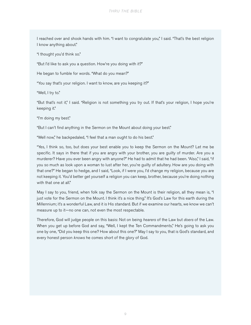I reached over and shook hands with him. "I want to congratulate you," I said. "That's the best religion I know anything about."

"I thought you'd think so."

"But I'd like to ask you a question. How're you doing with it?"

He began to fumble for words. "What do you mean?"

"You say that's your religion. I want to know, are you keeping it?"

"Well, I try to."

"But that's not it," I said. "Religion is not something you try out. If that's your religion, I hope you're keeping it."

"I'm doing my best."

"But I can't find anything in the Sermon on the Mount about doing your best."

"Well now," he backpedaled, "I feel that a man ought to do his best."

"Yes, I think so, too, but does your best enable you to keep the Sermon on the Mount? Let me be specific. It says in there that if you are angry with your brother, you are guilty of murder. Are you a murderer? Have you ever been angry with anyone?" He had to admit that he had been. "Also," I said, "if you so much as look upon a woman to lust after her, you're guilty of adultery. How are you doing with that one?" He began to hedge, and I said, "Look, if I were you, I'd change my religion, because you are not keeping it. You'd better get yourself a religion you can keep, brother, because you're doing nothing with that one at all."

May I say to you, friend, when folk say the Sermon on the Mount is their religion, all they mean is, "I just vote for the Sermon on the Mount. I think it's a nice thing." It's God's Law for this earth during the Millennium; it's a wonderful Law, and it is His standard. But if we examine our hearts, we know we can't measure up to it—no one can, not even the most respectable.

Therefore, God will judge people on this basis: Not on being *hearers* of the Law but *doers* of the Law. When you get up before God and say, "Well, I kept the Ten Commandments," He's going to ask you one by one, "Did you keep this one? How about this one?" May I say to you, that is God's standard, and every honest person *knows* he comes short of the glory of God.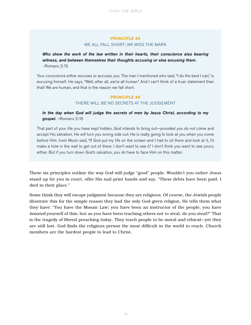#### **PRINCIPLE #5** WE ALL FALL SHORT; WE MISS THE MARK

*Who show the work of the law written in their hearts, their conscience also bearing witness, and between themselves their thoughts accusing or else excusing them.* –Romans 2:15

Your conscience either excuses or accuses you. The man I mentioned who said, "I do the best I can," is excusing himself. He says, "Well, after all, we're all human." And I can't think of a truer statement than that! We *are* human, and that is the reason we fall short.

#### **PRINCIPLE #6** THERE WILL BE NO SECRETS AT THE JUDGEMENT

*In the day when God will judge the secrets of men by Jesus Christ, according to my gospel.* –Romans 2:16

That part of your life you have kept hidden, God intends to bring out—provided you do not come and accept His salvation. He will turn you wrong side out; He is really going to look at you when you come before Him. Irwin Moon said, "If God put my life on the screen and I had to sit there and look at it, I'd make a hole in the wall to get out of there. I don't want to see it." I don't think you want to see yours, either. But if you turn down God's salvation, you *do* have to face Him on this matter.

These six principles outline the way God will judge "good" people. Wouldn't you rather Jesus stand up for you in court, offer His nail-print hands and say, "These debts have been paid. I died in their place."

Some think they will escape judgment because they are religious. Of course, the Jewish people illustrate this for the simple reason they had the only God-given religion. He tells them what they have: "You have the Mosaic Law; you have been an instructor of the people; you have *boasted* yourself of this; but as you have been teaching others not to steal, do you steal?" That is the tragedy of liberal preaching today. They teach people to be moral and ethical—yet they are still lost. God finds the religious person the most difficult in the world to reach. Church members are the hardest people to lead to Christ.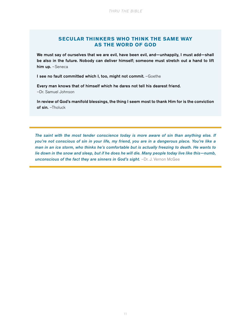#### **SECULAR THINKERS WHO THINK THE SAME WAY AS THE WORD OF GOD**

We must say of ourselves that we are evil, have been evil, and—unhappily, I must add—shall be also in the future. Nobody can deliver himself; someone must stretch out a hand to lift him up. - Seneca

I see no fault committed which I, too, might not commit. - Goethe

Every man knows that of himself which he dares not tell his dearest friend. –Dr. Samuel Johnson

In review of God's manifold blessings, the thing I seem most to thank Him for is the conviction of sin. - Tholuck

*The saint with the most tender conscience today is more aware of sin than anything else. If you're not conscious of sin in your life, my friend, you are in a dangerous place. You're like a man in an ice storm, who thinks he's comfortable but is actually freezing to death. He wants to lie down in the snow and sleep, but if he does he will die. Many people today live like this—numb,*  **unconscious of the fact they are sinners in God's sight.** -Dr. J. Vernon McGee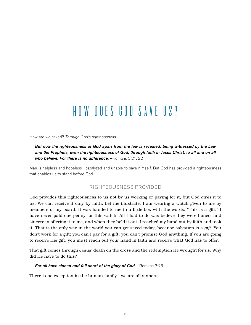# How Does God Save Us?

How are we saved? *Through God's righteousness.* 

*But now the righteousness of God apart from the law is revealed, being witnessed by the Law and the Prophets, even the righteousness of God, through faith in Jesus Christ, to all and on all who believe. For there is no difference.* –Romans 3:21, 22

Man is helpless and hopeless—paralyzed and unable to save himself. But God has provided a righteousness that enables us to stand before God.

#### RIGHTEOUSNESS PROVIDED

God provides this righteousness to us not by us working or paying for it, but God *gives* it to us. We can receive it only by faith. Let me illustrate: I am wearing a watch given to me by members of my board. It was handed to me in a little box with the words, "This is a gift." I have never paid one penny for this watch. All I had to do was believe they were honest and sincere in offering it to me, and when they held it out, I reached my hand out by faith and took it. That is the only way in the world you can get saved today, because salvation is a *gift*. You don't work for a gift; you can't pay for a gift; you can't promise God anything. If you are going to receive His gift, you must reach out your hand in faith and receive what God has to offer.

That gift comes through Jesus' death on the cross and the redemption He wrought for us. Why did He have to do this?

#### For all have sinned and fall short of the glory of God. - Romans 3:23

There is no exception in the human family—we are all sinners.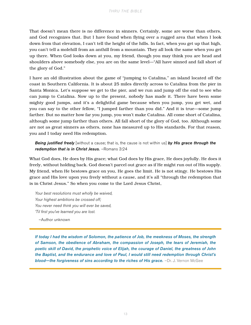That doesn't mean there is no difference in sinners. Certainly, some are worse than others, and God recognizes that. But I have found when flying over a rugged area that when I look down from that elevation, I can't tell the height of the hills. In fact, when you get up that high, you can't tell a molehill from an anthill from a mountain. They all look the same when you get up there. When God looks down at you, my friend, though you may think you are head and shoulders above somebody else, you are on the same level—"All have sinned and fall short of the glory of God."

I have an old illustration about the game of "jumping to Catalina," an island located off the coast in Southern California. It is about 25 miles directly across to Catalina from the pier in Santa Monica. Let's suppose we get to the pier, and we run and jump off the end to see who can jump to Catalina. Now up to the present, nobody has made it. There have been some mighty good jumps, and it's a delightful game because when you jump, you get wet, and you can say to the other fellow, "I jumped farther than you did." And it is true—some jump farther. But no matter how far you jump, you won't make Catalina. All come short of Catalina, although some jump farther than others. All fall short of the glory of God, too. Although some are not as great sinners as others, none has measured up to His standards. For that reason, you and I today need His redemption.

#### *Being justified freely* [without a cause; that is, the cause is not within us] *by His grace through the redemption that is in Christ Jesus.* –Romans 3:24

What God does, He does by His grace; what God does by His grace, He does joyfully. He does it freely, without holding back. God doesn't parcel out grace as if He might run out of His supply. My friend, when He bestows grace on you, He goes the limit. He is not stingy. He bestows His grace and His love upon you freely without a cause, and it's all "through the redemption that is in Christ Jesus." So when you come to the Lord Jesus Christ,

*Your best resolutions must wholly be waived, Your highest ambitions be crossed off; You never need think you will ever be saved, 'Til first you've learned you are lost.*

–Author unknown

*If today I had the wisdom of Solomon, the patience of Job, the meekness of Moses, the strength of Samson, the obedience of Abraham, the compassion of Joseph, the tears of Jeremiah, the poetic skill of David, the prophetic voice of Elijah, the courage of Daniel, the greatness of John the Baptist, and the endurance and love of Paul, I would still need redemption through Christ's*  **blood—the forgiveness of sins according to the riches of His grace.** -Dr. J. Vernon McGee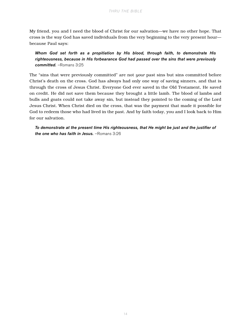My friend, you and I need the blood of Christ for our salvation—we have no other hope. That cross is the way God has saved individuals from the very beginning to the very present hour because Paul says:

*Whom God set forth as a propitiation by His blood, through faith, to demonstrate His righteousness, because in His forbearance God had passed over the sins that were previously committed.* –Romans 3:25

The "sins that were previously committed" are not *your* past sins but sins committed before Christ's death on the cross. God has always had only one way of saving sinners, and that is through the cross of Jesus Christ. Everyone God ever saved in the Old Testament, He saved on credit. He did not save them because they brought a little lamb. The blood of lambs and bulls and goats could not take away sin, but instead they pointed to the coming of the Lord Jesus Christ. When Christ died on the cross, that was the payment that made it possible for God to redeem those who had lived in the past. And by faith today, you and I look back to Him for our salvation.

*To demonstrate at the present time His righteousness, that He might be just and the justifier of the one who has faith in Jesus.* –Romans 3:26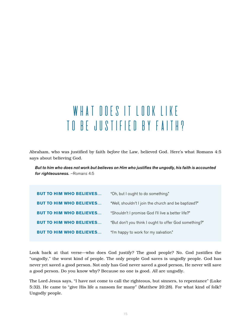# WHAT DOES IT LOOK LIKE to be Justified by Faith?

Abraham, who was justified by faith *before* the Law, believed God. Here's what Romans 4:5 says about believing God.

*But to him who does not work but believes on Him who justifies the ungodly, his faith is accounted for righteousness.* –Romans 4:5

| <b>BUT TO HIM WHO BELIEVES</b> | "Oh, but I ought to do something."                    |
|--------------------------------|-------------------------------------------------------|
| <b>BUT TO HIM WHO BELIEVES</b> | "Well, shouldn't I join the church and be baptized?"  |
| <b>BUT TO HIM WHO BELIEVES</b> | "Shouldn't I promise God I'll live a better life?"    |
| <b>BUT TO HIM WHO BELIEVES</b> | "But don't you think I ought to offer God something?" |
| <b>BUT TO HIM WHO BELIEVES</b> | "I'm happy to work for my salvation."                 |

Look back at that verse—who does God justify? The good people? No. God justifies the "ungodly," the worst kind of people. The only people God saves is ungodly people. God has never yet saved a good person. Not only has God never saved a good person, He never will save a good person. Do you know why? Because no one is good. *All* are ungodly.

The Lord Jesus says, "I have not come to call the righteous, but sinners, to repentance" (Luke 5:32). He came to "give His life a ransom for many" (Matthew 20:28). For what kind of folk? Ungodly people.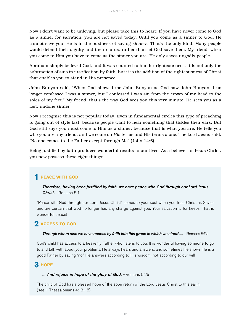Now I don't want to be unloving, but please take this to heart: If you have never come to God as a sinner for salvation, you are not saved today. Until you come as a sinner to God, He cannot save you. He is in the business of saving *sinners*. That's the only kind. Many people would defend their dignity and their status, rather than let God save them. My friend, when you come to Him you have to come as the sinner you are. He only saves ungodly people.

Abraham simply believed God, and it was counted to him for righteousness. It is not only the subtraction of sins in justification by faith, but it is the addition of the righteousness of Christ that enables you to stand in His presence.

John Bunyan said, "When God showed me John Bunyan as God saw John Bunyan, I no longer confessed I was a sinner, but I confessed I was sin from the crown of my head to the soles of my feet." My friend, that's the way God sees you this very minute. He sees you as a lost, undone sinner.

Now I recognize this is not popular today. Even in fundamental circles this type of preaching is going out of style fast, because people want to hear something that tickles their ears. But God still says you must come to Him as a sinner, because that is what you are. He tells you who you are, my friend, and we come on *His* terms and His terms alone. The Lord Jesus said, "No one comes to the Father except through Me" (John 14:6).

Being justified by faith produces wonderful results in our lives. As a believer in Jesus Christ, you now possess these eight things:

# **PEACE WITH GOD 1**

*Therefore, having been justified by faith, we have peace with God through our Lord Jesus Christ.* –Romans 5:1

"Peace with God through our Lord Jesus Christ" comes to your soul when you trust Christ as Savior and are certain that God no longer has any charge against you. Your salvation is for keeps. That is wonderful peace!

# $2$  ACCESS TO GOD

#### **Through whom also we have access by faith into this grace in which we stand ....** –Romans 5:2a

God's child has access to a heavenly Father who listens to you. It is wonderful having someone to go to and talk with about your problems. He always hears and answers, and sometimes He shows He is a good Father by saying "no." He answers according to His wisdom, not according to our will.

# $3$  норе

#### *... And rejoice in hope of the glory of God.* –Romans 5:2b

The child of God has a blessed hope of the soon return of the Lord Jesus Christ to this earth (see 1 Thessalonians 4:13-18).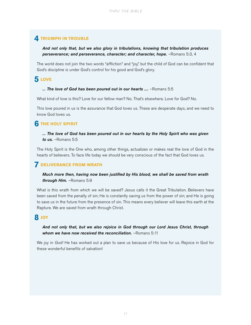# **4** TRIUMPH IN TROUBLE

#### *And not only that, but we also glory in tribulations, knowing that tribulation produces*  perseverance; and perseverance, character; and character, hope. - Romans 5:3, 4

The world does not join the two words "affliction" and "joy," but the child of God can be confident that God's discipline is under God's control for his good and God's glory.

# **LOVE 5**

#### *... The love of God has been poured out in our hearts ....* –Romans 5:5

What kind of love is this? Love for our fellow man? No. That's elsewhere. Love for God? No.

This love poured in us is the assurance that God loves us. These are desperate days, and we need to know God loves us.

# **THE HOLY SPIRIT 6**

#### *... The love of God has been poured out in our hearts by the Holy Spirit who was given to us.* –Romans 5:5

The Holy Spirit is the One who, among other things, actualizes or makes real the love of God in the hearts of believers. To face life today we should be very conscious of the fact that God loves us.

# **DELIVERANCE FROM WRATH 7**

#### *Much more then, having now been justified by His blood, we shall be saved from wrath through Him.* –Romans 5:9

What is this wrath from which we will be saved? Jesus calls it the Great Tribulation. Believers have been saved from the penalty of sin; He is constantly saving us from the power of sin; and He is going to save us in the future from the presence of sin. This means every believer will leave this earth at the Rapture. We are saved from wrath through Christ.

# **JOY 8**

#### *And not only that, but we also rejoice in God through our Lord Jesus Christ, through whom we have now received the reconciliation.* –Romans 5:11

We joy in *God!* He has worked out a plan to save us because of His love for us. Rejoice in God for these wonderful benefits of salvation!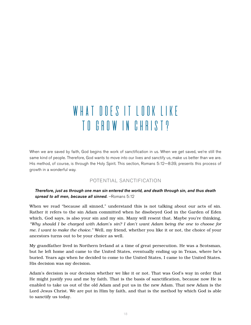# WHAT DOES IT LOOK LIKE to Grow in Christ?

When we are saved by faith, God begins the work of sanctification in us. When we get saved, we're still the same kind of people. Therefore, God wants to move into our lives and sanctify us, make us better than we are. His method, of course, is through the Holy Spirit. This section, Romans 5:12—8:39, presents this process of growth in a wonderful way.

#### POTENTIAL SANCTIFICATION

#### *Therefore, just as through one man sin entered the world, and death through sin, and thus death spread to all men, because all sinned.* –Romans 5:12

When we read "because all sinned," understand this is not talking about our acts of sin. Rather it refers to the sin Adam committed when he disobeyed God in the Garden of Eden which, God says, is also your sin and my sin. Many will resent that. Maybe you're thinking, *"Why should I be charged with Adam's sin? I don't want Adam being the one to choose for me. I want to make the choice."* Well, my friend, whether you like it or not, the choice of your ancestors turns out to be your choice as well.

My grandfather lived in Northern Ireland at a time of great persecution. He was a Scotsman, but he left home and came to the United States, eventually ending up in Texas, where he's buried. Years ago when he decided to come to the United States, I came to the United States. His decision was my decision.

Adam's decision is our decision whether we like it or not. That was God's way in order that He might justify you and me by faith. That is the basis of sanctification, because now He is enabled to take us out of the old Adam and put us in the new Adam. That new Adam is the Lord Jesus Christ. We are put in Him by faith, and that is the method by which God is able to sanctify us today.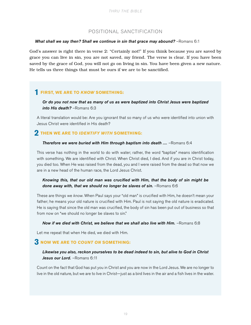#### POSITIONAL SANCTIFICATION

#### **What shall we say then? Shall we continue in sin that grace may abound?** - Romans 6:1

God's answer is right there in verse 2: "Certainly not!" If you think because you are saved by grace you can live in sin, you are not saved, my friend. The verse is clear. If you have been saved by the grace of God, you will not go on living in sin. You have been given a new nature. He tells us three things that must be ours if we are to be sanctified.

# **1 FIRST, WE ARE TO** *KNOW* **SOMETHING:**

*Or do you not now that as many of us as were baptized into Christ Jesus were baptized into His death?* –Romans 6:3

A literal translation would be: Are you ignorant that so many of us who were identified into union with Jesus Christ were identified in His death?

# **2 THEN WE ARE TO** *IDENTIFY WITH* **SOMETHING:**

#### **Therefore we were buried with Him through baptism into death ....** -Romans 6:4

This verse has nothing in the world to do with water; rather, the word "baptize" means identification with something. We are identified with Christ. When Christ died, I died. And if you are in Christ today, you died too. When He was raised from the dead, you and I were raised from the dead so that now we are in a new head of the human race, the Lord Jesus Christ.

#### *Knowing this, that our old man was crucified with Him, that the body of sin might be done away with, that we should no longer be slaves of sin.* –Romans 6:6

These are things we *know*. When Paul says your "old man" is crucified with Him, he doesn't mean your father; he means your old nature is crucified with Him. Paul is not saying the old nature is eradicated. He is saying that since the old man was crucified, the body of sin has been put out of business so that from now on "we should no longer be slaves to sin."

#### **Now if we died with Christ, we believe that we shall also live with Him.** -Romans 6:8

Let me repeat that when He died, we died with Him.

# **3 NOW WE ARE TO** *COUNT ON* **SOMETHING:**

#### *Likewise you also, reckon yourselves to be dead indeed to sin, but alive to God in Christ Jesus our Lord.* –Romans 6:11

Count on the fact that God has put you in Christ and you are now in the Lord Jesus. We are no longer to live in the old nature, but we are to live in Christ—just as a bird lives in the air and a fish lives in the water.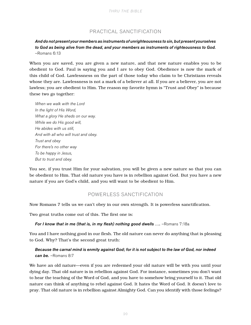#### PRACTICAL SANCTIFICATION

#### *And do not present your members as instruments of unrighteousness to sin, but present yourselves to God as being alive from the dead, and your members as instruments of righteousness to God.*  –Romans 6:13

When you are saved, you are given a new nature, and that new nature enables you to be obedient to God. Paul is saying you and I are to obey God. Obedience is now the mark of this child of God. Lawlessness on the part of those today who claim to be Christians reveals whose they are. Lawlessness is not a mark of a believer at all. If you are a believer, you are not lawless; you are obedient to Him. The reason my favorite hymn is "Trust and Obey" is because these two go together:

*When we walk with the Lord In the light of His Word, What a glory He sheds on our way. While we do His good will, He abides with us still, And with all who will trust and obey. Trust and obey For there's no other way To be happy in Jesus, But to trust and obey.*

You see, if you trust Him for your salvation, you will be given a new nature so that you can be obedient to Him. That old nature you have is in rebellion against God. But you have a new nature if you are God's child, and you will want to be obedient to Him.

#### POWERLESS SANCTIFICATION

Now Romans 7 tells us we can't obey in our own strength. It is powerless sanctification.

Two great truths come out of this. The first one is:

#### *For I know that in me (that is, in my flesh) nothing good dwells ....* **-Romans 7:18a**

You and I have nothing good in our flesh. The old nature can never do anything that is pleasing to God. Why? That's the second great truth:

#### *Because the carnal mind is enmity against God; for it is not subject to the law of God, nor indeed can be.* –Romans 8:7

We have an old nature—even if you are redeemed your old nature will be with you until your dying day. That old nature is in rebellion against God. For instance, sometimes you don't want to hear the teaching of the Word of God, and you have to somehow bring yourself to it. That old nature can think of anything to rebel against God. It hates the Word of God. It doesn't love to pray. That old nature is in rebellion against Almighty God. Can you identify with those feelings?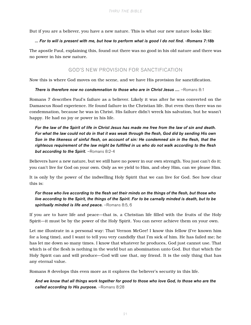But if you are a believer, you have a new nature. This is what our new nature looks like:

#### *... For to will is present with me, but how to perform what is good I do not find. -Romans 7:18b*

The apostle Paul, explaining this, found out there was no good in his old nature and there was no power in his new nature.

#### GOD'S NEW PROVISION FOR SANCTIFICATION

Now this is where God moves on the scene, and we have His provision for sanctification.

#### **There is therefore now no condemnation to those who are in Christ Jesus ....** -Romans 8:1

Romans 7 describes Paul's failure as a believer. Likely it was after he was converted on the Damascus Road experience. He found failure in the Christian life. But even then there was no condemnation, because he was in Christ. His failure didn't wreck his salvation, but he wasn't happy. He had no joy or power in his life.

*For the law of the Spirit of life in Christ Jesus has made me free from the law of sin and death. For what the law could not do in that it was weak through the flesh, God did by sending His own*  Son in the likeness of sinful flesh, on account of sin: He condemned sin in the flesh, that the *righteous requirement of the law might be fulfilled in us who do not walk according to the flesh but according to the Spirit.* –Romans 8:2-4

Believers have a new nature, but we still have no power in our own strength. You just can't do it; you can't live for God on your own. Only as we yield to Him, and obey Him, can we please Him.

It is only by the power of the indwelling Holy Spirit that we can live for God. See how clear this is:

#### *For those who live according to the flesh set their minds on the things of the flesh, but those who live according to the Spirit, the things of the Spirit. For to be carnally minded is death, but to be spiritually minded is life and peace.* –Romans 8:5, 6

If you are to have life and peace—that is, a Christian life filled with the fruits of the Holy Spirit—it must be by the power of the Holy Spirit. You can never achieve them on your own.

Let me illustrate in a personal way: That Vernon McGee! I know this fellow (I've known him for a long time), and I want to tell you very candidly that I'm sick of him. He has failed me; he has let me down so many times. I know that whatever he produces, God just cannot use. That which is of the flesh is nothing in the world but an abomination unto God. But that which the Holy Spirit can and will produce—God will use that, my friend. It is the only thing that has any eternal value.

Romans 8 develops this even more as it explores the believer's security in this life.

*And we know that all things work together for good to those who love God, to those who are the called according to His purpose.* –Romans 8:28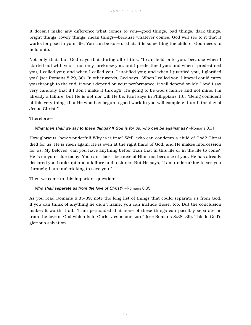It doesn't make any difference what comes to you—good things, bad things, dark things, bright things, lovely things, mean things—because whatever comes, God will see to it that it works for good in your life. You can be sure of that. It is something the child of God needs to hold onto.

Not only that, but God says that during all of this, "I can hold onto you, because when I started out with you, I not only foreknew you, but I predestined you; and when I predestined you, I called you; and when I called you, I justified you; and when I justified you, I glorified you" (see Romans 8:29, 30). In other words, God says, "When I called you, I knew I could carry you through to the end. It won't depend on your performance. It will depend on Me." And I say very candidly that if I don't make it through, it's going to be God's failure and not mine. I'm already a failure, but He is not nor will He be. Paul says in Philippians 1:6, "Being confident of this very thing, that He who has begun a good work in you will complete it until the day of Jesus Christ."

Therefore—

#### *What then shall we say to these things? If God is for us, who can be against us?* –Romans 8:31

How glorious, how wonderful! Why is it true? Well, who can condemn a child of God? Christ died for us, He is risen again, He is even at the right hand of God, and He makes intercession for us. My beloved, can you have anything better than that in this life or in the life to come? He is on your side today. You can't lose—because of Him, not because of you. He has already declared you bankrupt and a failure and a sinner. But He says, "I am undertaking to see you through; I am undertaking to save you."

Then we come to this important question:

#### *Who shall separate us from the love of Christ?* **– Romans 8:35**

As you read Romans 8:35-39, note the long list of things that could separate us from God. If you can think of anything he didn't name, you can include those, too. But the conclusion makes it worth it all: "I am persuaded that none of these things can possibly separate us from the love of God which is in Christ Jesus our Lord" (see Romans 8:38, 39). This is God's glorious salvation.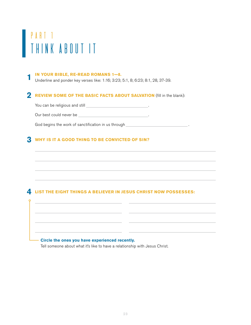# PART<sub>1</sub> Think About It

#### **IN YOUR BIBLE, RE-READ ROMANS 1—8. 1**

Underline and ponder key verses like: 1:16; 3:23; 5:1, 8; 6:23; 8:1, 28, 37-39.

# **2** REVIEW SOME OF THE BASIC FACTS ABOUT SALVATION (fill in the blank):

You can be religious and still \_\_\_\_\_\_\_\_\_\_\_\_\_\_\_\_\_\_\_\_\_\_\_\_\_\_\_\_\_\_.

Our best could never be .

God begins the work of sanctification in us through **with any contract of the same of the same of the same of the same of the same of the same of the same of the same of the same of the same of the same of the same of the** 

# **WHY IS IT A GOOD THING TO BE CONVICTED OF SIN? 3**

# **LIST THE EIGHT THINGS A BELIEVER IN JESUS CHRIST NOW POSSESSES: 4**

#### **Circle the ones you have experienced recently.**

Tell someone about what it's like to have a relationship with Jesus Christ.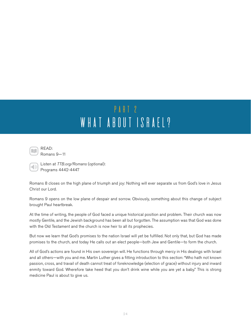# PART 2 WHAT ABOUT ISRAEL?



 $\Box$ 

READ: Romans 9—11

Listen at *TTB.org/Romans* (optional): Programs 4442-4447

Romans 8 closes on the high plane of triumph and joy: Nothing will ever separate us from God's love in Jesus Christ our Lord.

Romans 9 opens on the low plane of despair and sorrow. Obviously, something about this change of subject brought Paul heartbreak.

At the time of writing, the people of God faced a unique historical position and problem. Their church was now mostly Gentile, and the Jewish background has been all but forgotten. The assumption was that God was done with the Old Testament and the church is now heir to all its prophecies.

But now we learn that God's promises to the nation Israel will yet be fulfilled. Not only that, but God has made promises to the church, and today He calls out an elect people—both Jew and Gentile—to form the church.

All of God's actions are found in His own sovereign will. He functions through mercy in His dealings with Israel and all others—with you and me. Martin Luther gives a fitting introduction to this section: "Who hath not known passion, cross, and travail of death cannot treat of foreknowledge (election of grace) without injury and inward enmity toward God. Wherefore take heed that you don't drink wine while you are yet a baby." This is strong medicine Paul is about to give us.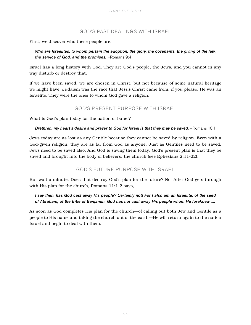#### GOD'S PAST DEALINGS WITH ISRAEL

First, we discover who these people are:

*Who are Israelites, to whom pertain the adoption, the glory, the covenants, the giving of the law, the service of God, and the promises.* –Romans 9:4

Israel has a long history with God. They are God's people, the Jews, and you cannot in any way disturb or destroy that.

If we have been saved, we are chosen in Christ, but not because of some natural heritage we might have. Judaism was the race that Jesus Christ came from, if you please. He was an Israelite. They were the ones to whom God gave a religion.

#### GOD'S PRESENT PURPOSE WITH ISRAEL

What is God's plan today for the nation of Israel?

#### *Brethren, my heart's desire and prayer to God for Israel is that they may be saved.* -Romans 10:1

Jews today are as lost as any Gentile because they cannot be saved by religion. Even with a God-given religion, they are as far from God as anyone. Just as Gentiles need to be saved, Jews need to be saved also. And God is saving them today. God's present plan is that they be saved and brought into the body of believers, the church (see Ephesians 2:11-22).

#### GOD'S FUTURE PURPOSE WITH ISRAEL

But wait a minute. Does that destroy God's plan for the future? No. After God gets through with His plan for the church, Romans 11:1-2 says,

#### *I say then, has God cast away His people? Certainly not! For I also am an Israelite, of the seed of Abraham, of the tribe of Benjamin. God has not cast away His people whom He foreknew ....*

As soon as God completes His plan for the church—of calling out both Jew and Gentile as a people to His name and taking the church out of the earth—He will return again to the nation Israel and begin to deal with them.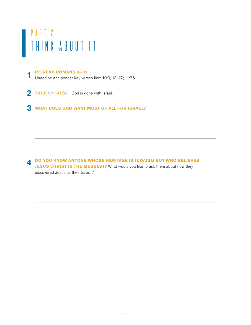# PART 2 Think About It

#### **RE-READ ROMANS 9—11. 1**

Underline and ponder key verses like: 10:9, 13, 17; 11:36.

**TRUE** OR **FALSE** | God is done with Israel. **2**

# **WHAT DOES GOD WANT MOST OF ALL FOR ISRAEL? 3**

**DO YOU KNOW ANYONE WHOSE HERITAGE IS JUDAISM BUT WHO BELIEVES JESUS CHRIST IS THE MESSIAH?** What would you like to ask them about how they discovered Jesus as their Savior? **4**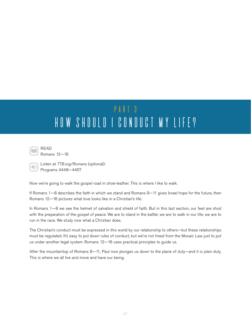# PART 3 HOW SHOULD I CONDUCT MY LIFE?



 $\sqrt{2}$ 

Romans 12—16

Listen at *TTB.org/Romans* (optional): Programs 4448—4457

Now we're going to walk the gospel road in shoe-leather. This is where I like to walk.

If Romans 1—8 describes the faith in which we stand and Romans 9—11 gives Israel hope for the future, then Romans 12—16 pictures what love looks like in a Christian's life.

In Romans 1—8 we see the helmet of salvation and shield of faith. But in this last section, our feet are shod with the preparation of the gospel of peace. We are to stand in the battle; we are to walk in our life; we are to run in the race. We study now what a Christian does.

The Christian's conduct must be expressed in this world by our relationship to others—but these relationships must be regulated. It's easy to put down rules of conduct, but we're not freed from the Mosaic Law just to put us under another legal system. Romans 12—16 uses practical principles to guide us.

After the mountaintop of Romans 8—11, Paul now plunges us down to the plane of duty—and it is *plain* duty. This is where we all live and move and have our being.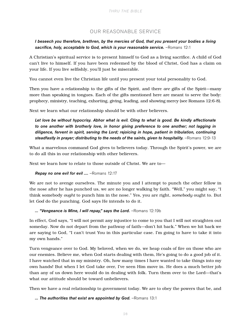#### OUR REASONABLE SERVICE

#### *I beseech you therefore, brethren, by the mercies of God, that you present your bodies a living*  **sacrifice, holy, acceptable to God, which is your reasonable service.** -Romans 12:1

A Christian's spiritual service is to present himself to God as a living sacrifice. A child of God can't live to himself. If you have been redeemed by the blood of Christ, God has a claim on your life. If you live selfishly, you'll just be miserable.

You cannot even live the Christian life until you present your total personality to God.

Then you have a relationship to the gifts of the Spirit, and there *are* gifts of the Spirit—many more than speaking in tongues. Each of the gifts mentioned here are meant to serve the body: prophecy, ministry, teaching, exhorting, giving, leading, and showing mercy (see Romans 12:6-8).

Next we learn what our relationship should be with other believers.

*Let love be without hypocrisy. Abhor what is evil. Cling to what is good. Be kindly affectionate to one another with brotherly love, in honor giving preference to one another; not lagging in diligence, fervent in spirit, serving the Lord; rejoicing in hope, patient in tribulation, continuing*  steadfastly in prayer; distributing to the needs of the saints, given to hospitality. -Romans 12:9-13

What a marvelous command God gives to believers today. Through the Spirit's power, we are to do all this in our relationship with other believers.

Next we learn how to relate to those outside of Christ. We are to—

#### *Repay no one evil for evil ....* –Romans 12:17

We are not to avenge ourselves. The minute you and I attempt to punch the other fellow in the nose after he has punched us, we are no longer walking by faith. "Well," you might say, "I think somebody *ought* to punch him in the nose." Yes, you are right, *somebody* ought to. But let *God* do the punching. God says He intends to do it.

#### ... "Vengeance is Mine, I will repay," says the Lord. - Romans 12:19b

In effect, God says, "I will not permit any injustice to come to you that I will not straighten out someday. Now do not depart from the pathway of faith—don't hit back." When we hit back we are saying to God, "I can't trust You in this particular case. I'm going to have to take it into my own hands."

Turn vengeance over to God. My beloved, when we do, we heap coals of fire on those who are our enemies. Believe me, when God starts dealing with them, He's going to do a good job of it. I have watched that in my ministry. Oh, how many times I have wanted to take things into my own hands! But when I let God take over, I've seen Him move in. He does a much better job than any of us down here would do in dealing with folk. Turn them over to the Lord—that's what our attitude should be toward unbelievers.

Then we have a real relationship to government today. We are to obey the powers that be, and

#### *... The authorities that exist are appointed by God.* –Romans 13:1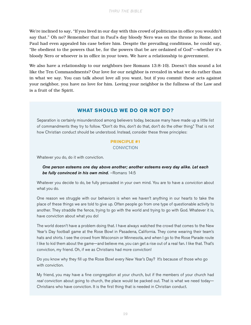We're inclined to say, "If you lived in our day with this crowd of politicians in office you wouldn't say that." Oh no? Remember that in Paul's day bloody Nero was on the throne in Rome, and Paul had even appealed his case before him. Despite the prevailing conditions, he could say, "Be obedient to the powers that be, for the powers that be are ordained of God"—whether it's bloody Nero or whoever is in office in your town. We have a relationship to government.

We also have a relationship to our neighbors (see Romans 13:8-10). Doesn't this sound a lot like the Ten Commandments? Our love for our neighbor is revealed in what we do rather than in what we say. You can talk about love all you want, but if you commit these acts against your neighbor, you have no love for him. Loving your neighbor is the fullness of the Law and is a fruit of the Spirit.

#### **WHAT SHOULD WE DO OR NOT DO?**

Separation is certainly misunderstood among believers today, because many have made up a little list of commandments they try to follow. "Don't do this, don't do that, don't do the other thing." That is not how Christian conduct should be understood. Instead, consider these three principles:

#### **PRINCIPLE #1** CONVICTION

Whatever you do, do it with conviction.

#### *One person esteems one day above another; another esteems every day alike. Let each be fully convinced in his own mind.* –Romans 14:5

Whatever you decide to do, be fully persuaded in your own mind. You are to have a *conviction* about what you do.

One reason we struggle with our behaviors is when we haven't anything in our hearts to take the place of these things we are told to give up. Often people go from one type of questionable activity to another. They straddle the fence, trying to go with the world and trying to go with God. Whatever it is, have conviction about what you do!

The world doesn't have a problem doing that. I have always watched the crowd that comes to the New Year's Day football game at the Rose Bowl in Pasadena, California. They come wearing their team's hats and shirts. I see the crowd from Wisconsin or Minnesota, and when I go to the Rose Parade route I like to kid them about the game—and believe me, you can get a rise out of a real fan. I like that. That's conviction, my friend. Oh, if we as Christians had more conviction!

Do you know why they fill up the Rose Bowl every New Year's Day? It's because of those who go with conviction.

My friend, you may have a fine congregation at your church, but if the members of your church had *real* conviction about going to church, the place would be packed out. That is what we need today— Christians who have conviction. It is the first thing that is needed in Christian conduct.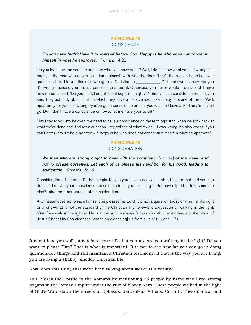#### **PRINCIPLE #2 CONSCIENCE**

#### *Do you have faith? Have it to yourself before God. Happy is he who does not condemn himself in what he approves.* –Romans 14:22

Do you look back on your life and hate what you have done? Well, I don't know what you did wrong, but happy is the man who doesn't condemn himself with what he does. That's the reason I don't answer questions like, "Do you think it's wrong for a Christian to ?" The answer is easy. For you it's wrong because you have a conscience about it. Otherwise you never would have asked. I have never been asked, "Do you think I ought to eat supper tonight?" Nobody has a conscience on that, you see. They ask only about that on which they have a conscience. I like to say to some of them, "Well, apparently for you it is wrong—you've got a conscience on it or you wouldn't have asked me. You can't go. But I don't have a conscience on it—so let me have your ticket!"

May I say to you, my beloved, we need to have a conscience on these things. And when we look back at what we've done and it raises a question—regardless of what it was—it was wrong. It's also wrong if you can't enter into it whole-heartedly. "Happy is he who does not condemn himself in what he approves."

#### **PRINCIPLE #3** CONSIDERATION

*We then who are strong ought to bear with the scruples* [infirmities] *of the weak, and not to please ourselves. Let each of us please his neighbor for his good, leading to edification.* –Romans 15:1, 2

Consideration of others—it's that simple. Maybe you have a conviction about this or that and you can do it, and maybe your conscience doesn't condemn you for doing it. But how might it affect someone else? Take the other person into consideration.

A Christian does not please himself; he pleases his Lord. It is not a question today of whether it's right or wrong—that is not the standard of the Christian anymore—it is a question of walking in the light. "But if we walk in the light as He is in the light, we have fellowship with one another, and the blood of Jesus Christ His Son cleanses [keeps on cleansing] us from all sin" (1 John 1:7).

It is not *how* you walk, it is *where* you walk that counts. Are you walking in the light? Do you want to please Him? That is what is important. It is not to see how far you can go in doing questionable things and still maintain a Christian testimony. If that is the way you are living, you are living a shabby, shoddy Christian life.

Now, does this thing that we've been talking about work? Is it reality?

Paul closes the Epistle to the Romans by mentioning 35 people by name who lived among pagans in the Roman Empire under the rule of bloody Nero. These people walked in the light of God's Word down the streets of Ephesus, Jerusalem, Athens, Corinth, Thessalonica, and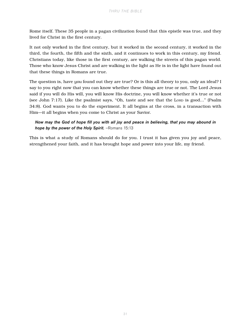Rome itself. These 35 people in a pagan civilization found that this epistle was true, and they lived for Christ in the first century.

It not only worked in the first century, but it worked in the second century, it worked in the third, the fourth, the fifth and the sixth, and it continues to work in this century, my friend. Christians today, like those in the first century, are walking the streets of this pagan world. Those who know Jesus Christ and are walking in the light as He is in the light have found out that these things in Romans are true.

The question is, have *you* found out they are true? Or is this all theory to you, only an ideal? I say to you right now that you can know whether these things are true or not. The Lord Jesus said if you will do His will, you will know His doctrine, you will know whether it's true or not (see John 7:17). Like the psalmist says, "Oh, taste and see that the Lord is good..." (Psalm 34:8). God wants you to do the experiment. It all begins at the cross, in a transaction with Him—it all begins when you come to Christ as your Savior.

#### *Now may the God of hope fill you with all joy and peace in believing, that you may abound in hope by the power of the Holy Spirit.* –Romans 15:13

This is what a study of Romans should do for you. I trust it has given you joy and peace, strengthened your faith, and it has brought hope and power into your life, my friend.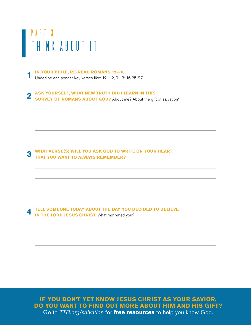# PART 3 Think About It

#### **IN YOUR BIBLE, RE-READ ROMANS 12—16. 1**

Underline and ponder key verses like: 12:1-2, 9-13; 16:25-27.

#### **ASK YOURSELF, WHAT NEW TRUTH DID I LEARN IN THIS SURVEY OF ROMANS ABOUT GOD?** About me? About the gift of salvation? **2**

#### **WHAT VERSE(S) WILL YOU ASK GOD TO WRITE ON YOUR HEART THAT YOU WANT TO ALWAYS REMEMBER? 3**

**TELL SOMEONE TODAY ABOUT THE DAY YOU DECIDED TO BELIEVE IN THE LORD JESUS CHRIST.** What motivated you? **4**

Go to TTB.org/salvation for *free resources* to help you know God. **IF YOU DON'T YET KNOW JESUS CHRIST AS YOUR SAVIOR, DO YOU WANT TO FIND OUT MORE ABOUT HIM AND HIS GIFT?**